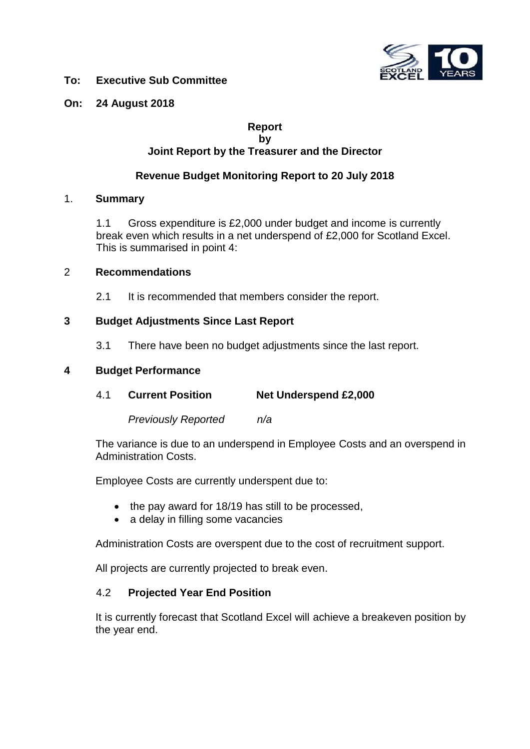

## **To: Executive Sub Committee**

## **On: 24 August 2018**

#### **Report by Joint Report by the Treasurer and the Director**

# **Revenue Budget Monitoring Report to 20 July 2018**

#### 1. **Summary**

1.1 Gross expenditure is £2,000 under budget and income is currently break even which results in a net underspend of £2,000 for Scotland Excel. This is summarised in point 4:

#### 2 **Recommendations**

2.1 It is recommended that members consider the report.

#### **3 Budget Adjustments Since Last Report**

3.1 There have been no budget adjustments since the last report.

### **4 Budget Performance**

4.1 **Current Position Net Underspend £2,000**

*Previously Reported n/a*

The variance is due to an underspend in Employee Costs and an overspend in Administration Costs.

Employee Costs are currently underspent due to:

- the pay award for 18/19 has still to be processed,
- a delay in filling some vacancies

Administration Costs are overspent due to the cost of recruitment support.

All projects are currently projected to break even.

#### 4.2 **Projected Year End Position**

It is currently forecast that Scotland Excel will achieve a breakeven position by the year end.